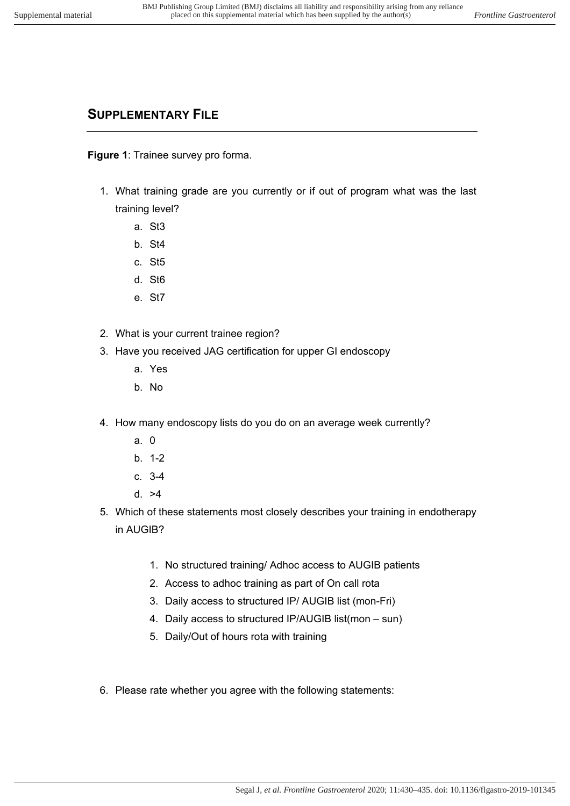## **SUPPLEMENTARY FILE**

**Figure 1**: Trainee survey pro forma.

- 1. What training grade are you currently or if out of program what was the last training level?
	- a. St3
	- b. St4
	- c. St5
	- d. St6
	- e. St7
- 2. What is your current trainee region?
- 3. Have you received JAG certification for upper GI endoscopy
	- a. Yes
	- b. No
- 4. How many endoscopy lists do you do on an average week currently?
	- a. 0
	- b. 1-2
	- c. 3-4
	- d. >4
- 5. Which of these statements most closely describes your training in endotherapy in AUGIB?
	- 1. No structured training/ Adhoc access to AUGIB patients
	- 2. Access to adhoc training as part of On call rota
	- 3. Daily access to structured IP/ AUGIB list (mon-Fri)
	- 4. Daily access to structured IP/AUGIB list(mon sun)
	- 5. Daily/Out of hours rota with training
- 6. Please rate whether you agree with the following statements: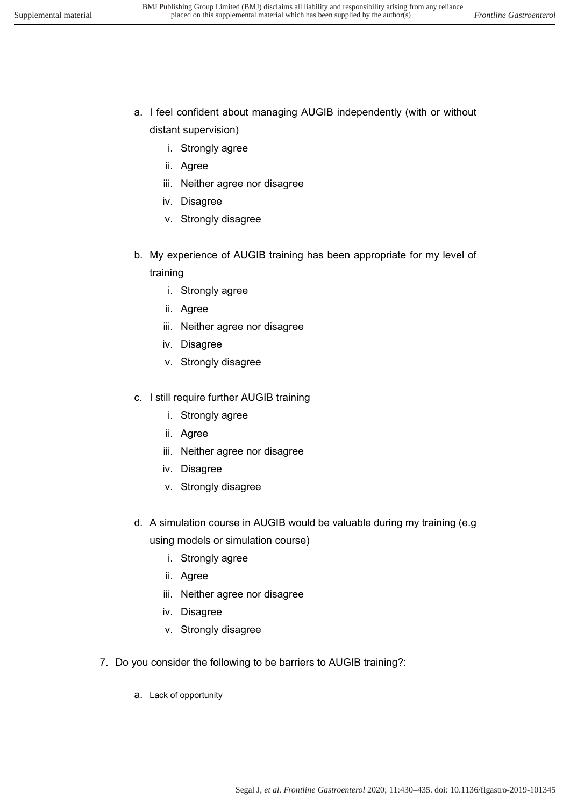- a. I feel confident about managing AUGIB independently (with or without distant supervision)
	- i. Strongly agree
	- ii. Agree
	- iii. Neither agree nor disagree
	- iv. Disagree
	- v. Strongly disagree
- b. My experience of AUGIB training has been appropriate for my level of training
	- i. Strongly agree
	- ii. Agree
	- iii. Neither agree nor disagree
	- iv. Disagree
	- v. Strongly disagree
- c. I still require further AUGIB training
	- i. Strongly agree
	- ii. Agree
	- iii. Neither agree nor disagree
	- iv. Disagree
	- v. Strongly disagree
- d. A simulation course in AUGIB would be valuable during my training (e.g using models or simulation course)
	- i. Strongly agree
	- ii. Agree
	- iii. Neither agree nor disagree
	- iv. Disagree
	- v. Strongly disagree
- 7. Do you consider the following to be barriers to AUGIB training?:
	- a. Lack of opportunity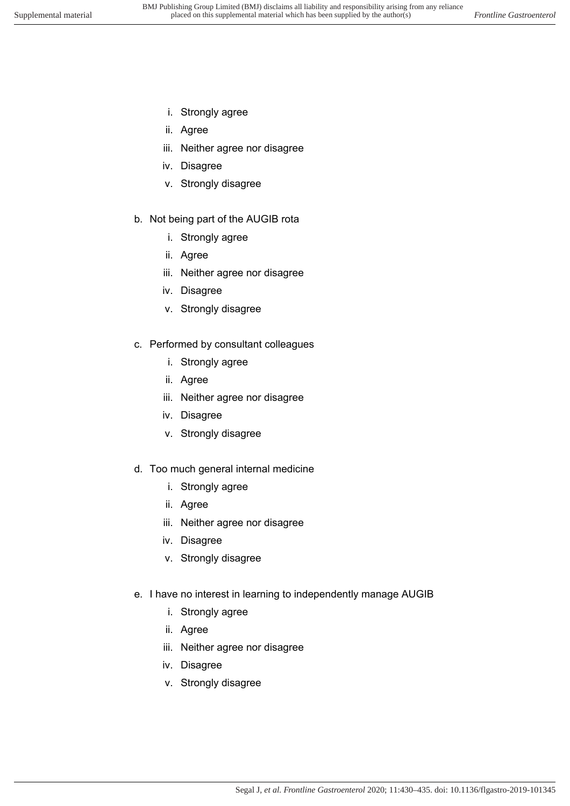- i. Strongly agree
- ii. Agree
- iii. Neither agree nor disagree
- iv. Disagree
- v. Strongly disagree

## b. Not being part of the AUGIB rota

- i. Strongly agree
- ii. Agree
- iii. Neither agree nor disagree
- iv. Disagree
- v. Strongly disagree
- c. Performed by consultant colleagues
	- i. Strongly agree
	- ii. Agree
	- iii. Neither agree nor disagree
	- iv. Disagree
	- v. Strongly disagree
- d. Too much general internal medicine
	- i. Strongly agree
	- ii. Agree
	- iii. Neither agree nor disagree
	- iv. Disagree
	- v. Strongly disagree
- e. I have no interest in learning to independently manage AUGIB
	- i. Strongly agree
	- ii. Agree
	- iii. Neither agree nor disagree
	- iv. Disagree
	- v. Strongly disagree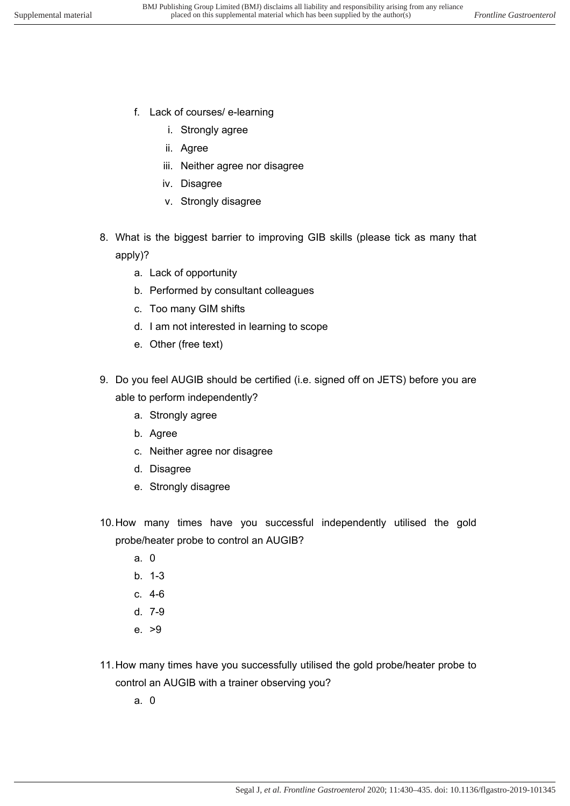- f. Lack of courses/ e-learning
	- i. Strongly agree
	- ii. Agree
	- iii. Neither agree nor disagree
	- iv. Disagree
	- v. Strongly disagree
- 8. What is the biggest barrier to improving GIB skills (please tick as many that apply)?
	- a. Lack of opportunity
	- b. Performed by consultant colleagues
	- c. Too many GIM shifts
	- d. I am not interested in learning to scope
	- e. Other (free text)
- 9. Do you feel AUGIB should be certified (i.e. signed off on JETS) before you are able to perform independently?
	- a. Strongly agree
	- b. Agree
	- c. Neither agree nor disagree
	- d. Disagree
	- e. Strongly disagree
- 10. How many times have you successful independently utilised the gold probe/heater probe to control an AUGIB?
	- a. 0
	- b. 1-3
	- c. 4-6
	- d. 7-9
	- e. >9
- 11. How many times have you successfully utilised the gold probe/heater probe to control an AUGIB with a trainer observing you?
	- a. 0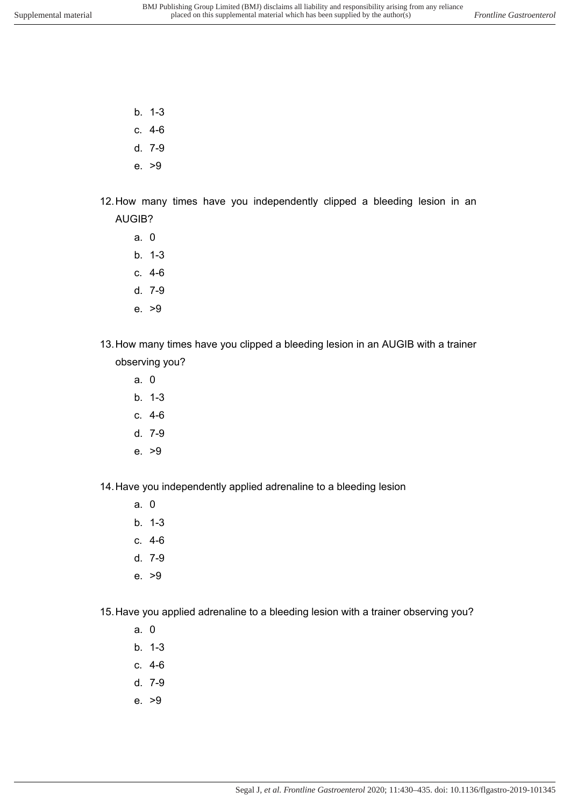- b. 1-3
- c. 4-6
- d. 7-9
- e. >9
- 12. How many times have you independently clipped a bleeding lesion in an AUGIB?
	- a. 0
	- b. 1-3
	- c. 4-6
	- d. 7-9
	- e. >9
- 13. How many times have you clipped a bleeding lesion in an AUGIB with a trainer observing you?
	- a. 0
	- b. 1-3
	- c. 4-6
	- d. 7-9
	- e. >9
- 14. Have you independently applied adrenaline to a bleeding lesion
	- a. 0
	- b. 1-3
	- c. 4-6
	- d. 7-9
	- e. >9

15. Have you applied adrenaline to a bleeding lesion with a trainer observing you?

- a. 0
- b. 1-3
- c. 4-6
- d. 7-9
- e. >9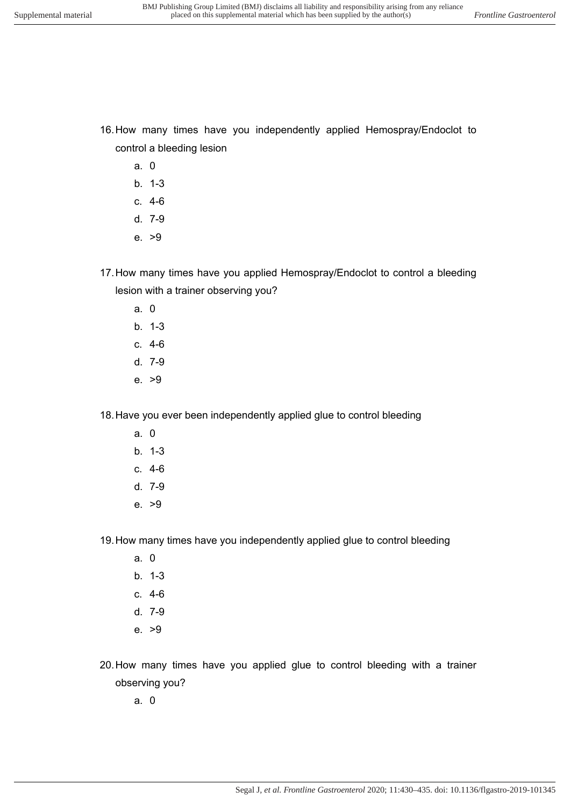- a. 0
- b. 1-3
- c. 4-6
- d. 7-9
- e. >9
- 17. How many times have you applied Hemospray/Endoclot to control a bleeding lesion with a trainer observing you?
	- a. 0
	- b. 1-3
	- c. 4-6
	- d. 7-9
	- e. >9

18. Have you ever been independently applied glue to control bleeding

- a. 0
- b. 1-3
- c. 4-6
- d. 7-9
- e. >9

19. How many times have you independently applied glue to control bleeding

- a. 0
- b. 1-3
- c. 4-6
- d. 7-9
- e. >9

20. How many times have you applied glue to control bleeding with a trainer observing you?

a. 0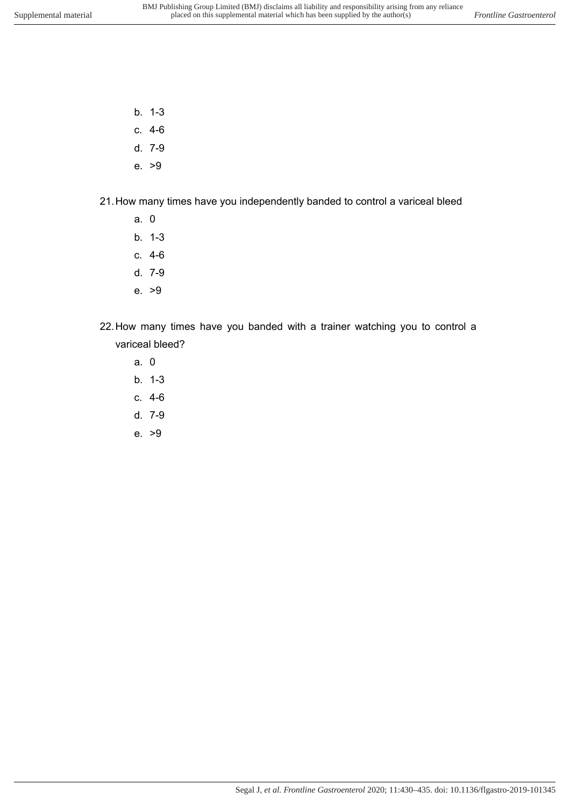- b. 1-3
- c. 4-6
- d. 7-9
- e. >9
- 21. How many times have you independently banded to control a variceal bleed
	- a. 0
	- b. 1-3
	- c. 4-6
	- d. 7-9
	- e. >9
- 22. How many times have you banded with a trainer watching you to control a variceal bleed?
	- a. 0
	- b. 1-3
	- c. 4-6
	- d. 7-9
	- e. >9